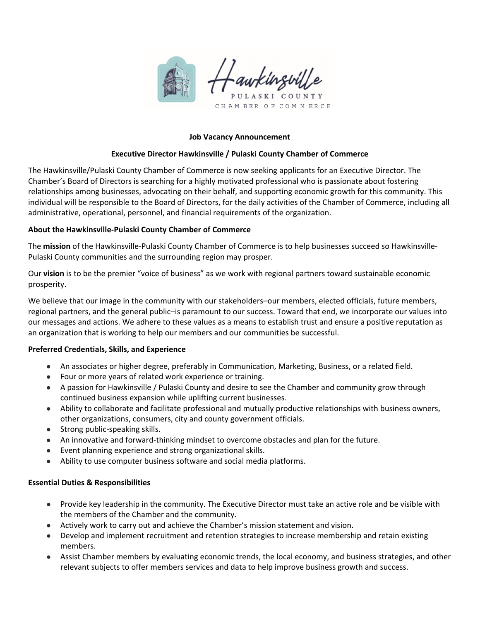

#### **Job Vacancy Announcement**

#### **Executive Director Hawkinsville / Pulaski County Chamber of Commerce**

The Hawkinsville/Pulaski County Chamber of Commerce is now seeking applicants for an Executive Director. The Chamber's Board of Directors is searching for a highly motivated professional who is passionate about fostering relationships among businesses, advocating on their behalf, and supporting economic growth for this community. This individual will be responsible to the Board of Directors, for the daily activities of the Chamber of Commerce, including all administrative, operational, personnel, and financial requirements of the organization.

#### **About the Hawkinsville‐Pulaski County Chamber of Commerce**

The **mission** of the Hawkinsville‐Pulaski County Chamber of Commerce is to help businesses succeed so Hawkinsville‐ Pulaski County communities and the surrounding region may prosper.

Our **vision** is to be the premier "voice of business" as we work with regional partners toward sustainable economic prosperity.

We believe that our image in the community with our stakeholders–our members, elected officials, future members, regional partners, and the general public–is paramount to our success. Toward that end, we incorporate our values into our messages and actions. We adhere to these values as a means to establish trust and ensure a positive reputation as an organization that is working to help our members and our communities be successful.

## **Preferred Credentials, Skills, and Experience**

- An associates or higher degree, preferably in Communication, Marketing, Business, or a related field.
- Four or more years of related work experience or training.
- A passion for Hawkinsville / Pulaski County and desire to see the Chamber and community grow through continued business expansion while uplifting current businesses.
- Ability to collaborate and facilitate professional and mutually productive relationships with business owners, other organizations, consumers, city and county government officials.
- Strong public-speaking skills.
- An innovative and forward-thinking mindset to overcome obstacles and plan for the future.
- Event planning experience and strong organizational skills.
- Ability to use computer business software and social media platforms.

#### **Essential Duties & Responsibilities**

- Provide key leadership in the community. The Executive Director must take an active role and be visible with the members of the Chamber and the community.
- Actively work to carry out and achieve the Chamber's mission statement and vision.
- Develop and implement recruitment and retention strategies to increase membership and retain existing members.
- Assist Chamber members by evaluating economic trends, the local economy, and business strategies, and other relevant subjects to offer members services and data to help improve business growth and success.